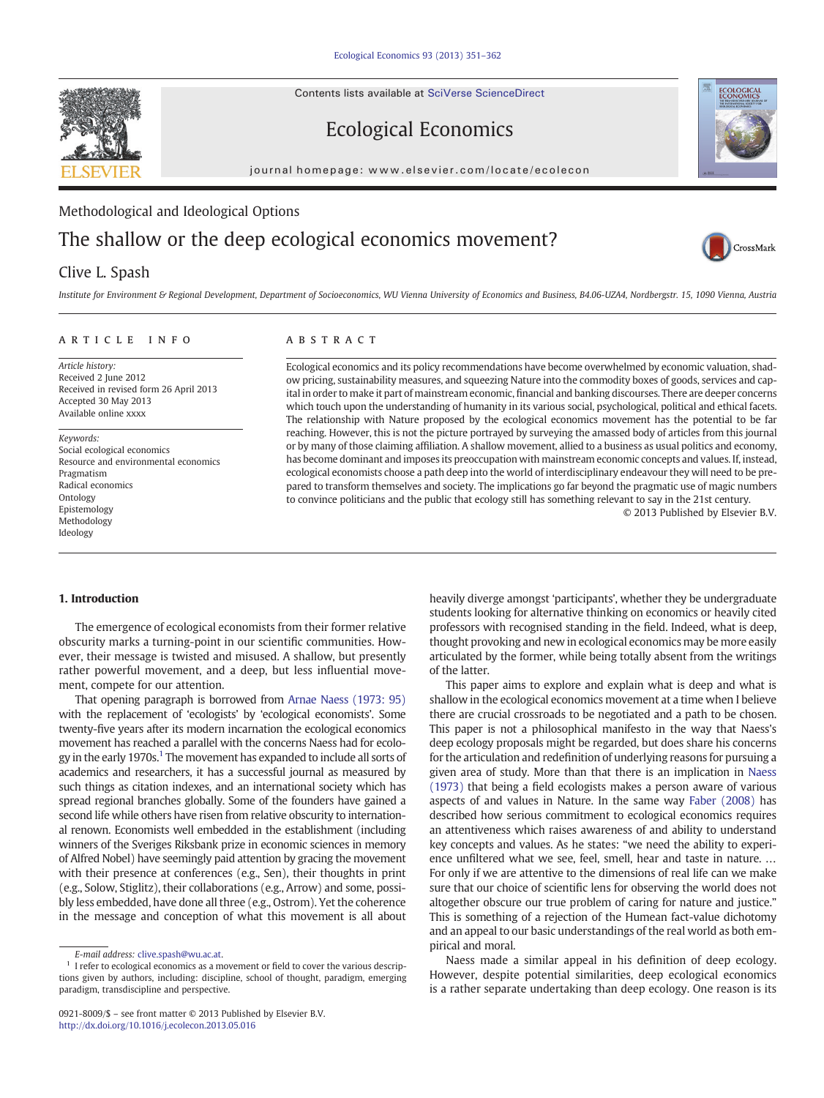Contents lists available at SciVerse ScienceDirect

Ecological Economics



journal homepage: www.elsevier.com/locate/ecolecon

# Methodological and Ideological Options

## The shallow or the deep ecological economics movement?

### Clive L. Spash

CrossMark

Institute for Environment & Regional Development, Department of Socioeconomics, WU Vienna University of Economics and Business, B4.06-UZA4, Nordbergstr. 15, 1090 Vienna, Austria

#### article info abstract

Article history: Received 2 June 2012 Received in revised form 26 April 2013 Accepted 30 May 2013 Available online xxxx

Keywords: Social ecological economics Resource and environmental economics Pragmatism Radical economics Ontology Epistemology Methodology Ideology

Ecological economics and its policy recommendations have become overwhelmed by economic valuation, shadow pricing, sustainability measures, and squeezing Nature into the commodity boxes of goods, services and capital in order to make it part of mainstream economic, financial and banking discourses. There are deeper concerns which touch upon the understanding of humanity in its various social, psychological, political and ethical facets. The relationship with Nature proposed by the ecological economics movement has the potential to be far reaching. However, this is not the picture portrayed by surveying the amassed body of articles from this journal or by many of those claiming affiliation. A shallow movement, allied to a business as usual politics and economy, has become dominant and imposes its preoccupation with mainstream economic concepts and values. If, instead, ecological economists choose a path deep into the world of interdisciplinary endeavour they will need to be prepared to transform themselves and society. The implications go far beyond the pragmatic use of magic numbers to convince politicians and the public that ecology still has something relevant to say in the 21st century.

© 2013 Published by Elsevier B.V.

### 1. Introduction

The emergence of ecological economists from their former relative obscurity marks a turning-point in our scientific communities. However, their message is twisted and misused. A shallow, but presently rather powerful movement, and a deep, but less influential movement, compete for our attention.

That opening paragraph is borrowed from [Arnae Naess \(1973: 95\)](#page--1-0) with the replacement of 'ecologists' by 'ecological economists'. Some twenty-five years after its modern incarnation the ecological economics movement has reached a parallel with the concerns Naess had for ecology in the early 1970s.<sup>1</sup> The movement has expanded to include all sorts of academics and researchers, it has a successful journal as measured by such things as citation indexes, and an international society which has spread regional branches globally. Some of the founders have gained a second life while others have risen from relative obscurity to international renown. Economists well embedded in the establishment (including winners of the Sveriges Riksbank prize in economic sciences in memory of Alfred Nobel) have seemingly paid attention by gracing the movement with their presence at conferences (e.g., Sen), their thoughts in print (e.g., Solow, Stiglitz), their collaborations (e.g., Arrow) and some, possibly less embedded, have done all three (e.g., Ostrom). Yet the coherence in the message and conception of what this movement is all about

heavily diverge amongst 'participants', whether they be undergraduate students looking for alternative thinking on economics or heavily cited professors with recognised standing in the field. Indeed, what is deep, thought provoking and new in ecological economics may be more easily articulated by the former, while being totally absent from the writings of the latter.

This paper aims to explore and explain what is deep and what is shallow in the ecological economics movement at a time when I believe there are crucial crossroads to be negotiated and a path to be chosen. This paper is not a philosophical manifesto in the way that Naess's deep ecology proposals might be regarded, but does share his concerns for the articulation and redefinition of underlying reasons for pursuing a given area of study. More than that there is an implication in [Naess](#page--1-0) [\(1973\)](#page--1-0) that being a field ecologists makes a person aware of various aspects of and values in Nature. In the same way [Faber \(2008\)](#page--1-0) has described how serious commitment to ecological economics requires an attentiveness which raises awareness of and ability to understand key concepts and values. As he states: "we need the ability to experience unfiltered what we see, feel, smell, hear and taste in nature. … For only if we are attentive to the dimensions of real life can we make sure that our choice of scientific lens for observing the world does not altogether obscure our true problem of caring for nature and justice." This is something of a rejection of the Humean fact-value dichotomy and an appeal to our basic understandings of the real world as both empirical and moral.

Naess made a similar appeal in his definition of deep ecology. However, despite potential similarities, deep ecological economics is a rather separate undertaking than deep ecology. One reason is its

E-mail address: [clive.spash@wu.ac.at.](mailto:clive.spash@wu.ac.at)

I refer to ecological economics as a movement or field to cover the various descriptions given by authors, including: discipline, school of thought, paradigm, emerging paradigm, transdiscipline and perspective.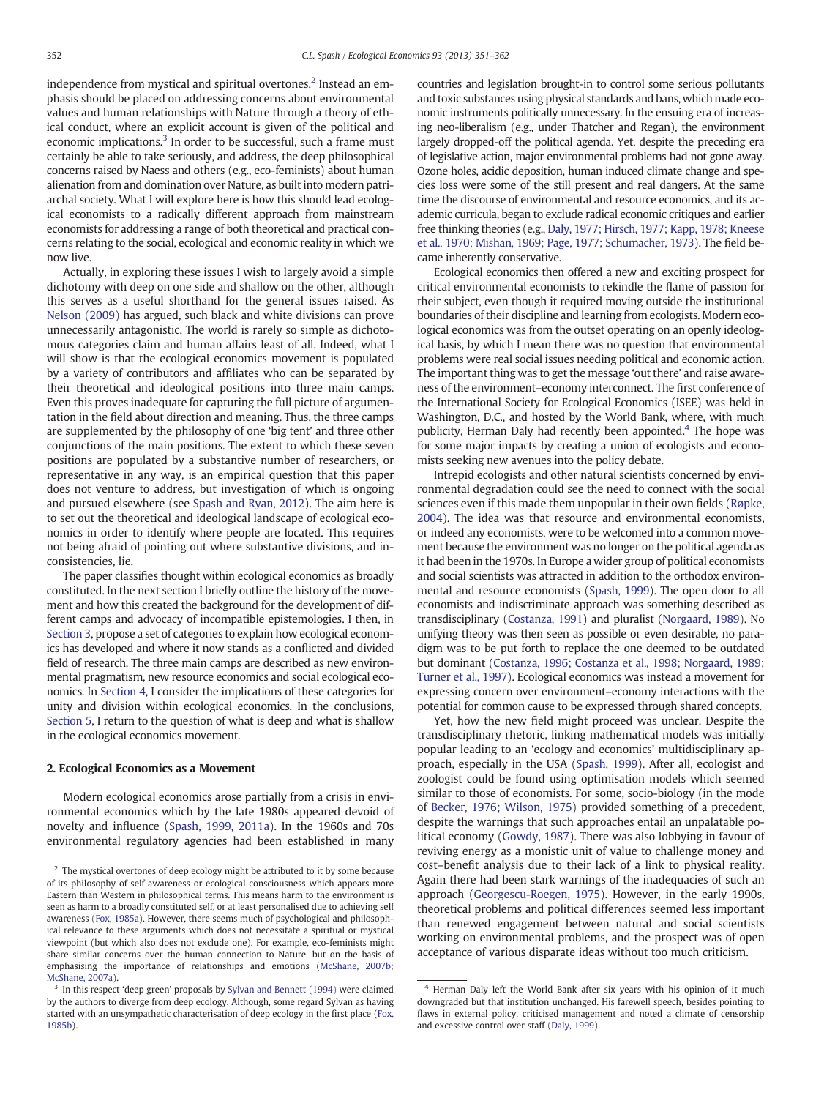independence from mystical and spiritual overtones.<sup>2</sup> Instead an emphasis should be placed on addressing concerns about environmental values and human relationships with Nature through a theory of ethical conduct, where an explicit account is given of the political and economic implications.<sup>3</sup> In order to be successful, such a frame must certainly be able to take seriously, and address, the deep philosophical concerns raised by Naess and others (e.g., eco-feminists) about human alienation from and domination over Nature, as built into modern patriarchal society. What I will explore here is how this should lead ecological economists to a radically different approach from mainstream economists for addressing a range of both theoretical and practical concerns relating to the social, ecological and economic reality in which we now live.

Actually, in exploring these issues I wish to largely avoid a simple dichotomy with deep on one side and shallow on the other, although this serves as a useful shorthand for the general issues raised. As [Nelson \(2009\)](#page--1-0) has argued, such black and white divisions can prove unnecessarily antagonistic. The world is rarely so simple as dichotomous categories claim and human affairs least of all. Indeed, what I will show is that the ecological economics movement is populated by a variety of contributors and affiliates who can be separated by their theoretical and ideological positions into three main camps. Even this proves inadequate for capturing the full picture of argumentation in the field about direction and meaning. Thus, the three camps are supplemented by the philosophy of one 'big tent' and three other conjunctions of the main positions. The extent to which these seven positions are populated by a substantive number of researchers, or representative in any way, is an empirical question that this paper does not venture to address, but investigation of which is ongoing and pursued elsewhere (see [Spash and Ryan, 2012](#page--1-0)). The aim here is to set out the theoretical and ideological landscape of ecological economics in order to identify where people are located. This requires not being afraid of pointing out where substantive divisions, and inconsistencies, lie.

The paper classifies thought within ecological economics as broadly constituted. In the next section I briefly outline the history of the movement and how this created the background for the development of different camps and advocacy of incompatible epistemologies. I then, in [Section 3,](#page--1-0) propose a set of categories to explain how ecological economics has developed and where it now stands as a conflicted and divided field of research. The three main camps are described as new environmental pragmatism, new resource economics and social ecological economics. In [Section 4](#page--1-0), I consider the implications of these categories for unity and division within ecological economics. In the conclusions, [Section 5](#page--1-0), I return to the question of what is deep and what is shallow in the ecological economics movement.

#### 2. Ecological Economics as a Movement

Modern ecological economics arose partially from a crisis in environmental economics which by the late 1980s appeared devoid of novelty and influence [\(Spash, 1999, 2011a\)](#page--1-0). In the 1960s and 70s environmental regulatory agencies had been established in many countries and legislation brought-in to control some serious pollutants and toxic substances using physical standards and bans, which made economic instruments politically unnecessary. In the ensuing era of increasing neo-liberalism (e.g., under Thatcher and Regan), the environment largely dropped-off the political agenda. Yet, despite the preceding era of legislative action, major environmental problems had not gone away. Ozone holes, acidic deposition, human induced climate change and species loss were some of the still present and real dangers. At the same time the discourse of environmental and resource economics, and its academic curricula, began to exclude radical economic critiques and earlier free thinking theories (e.g., [Daly, 1977; Hirsch, 1977; Kapp, 1978; Kneese](#page--1-0) [et al., 1970; Mishan, 1969; Page, 1977; Schumacher, 1973\)](#page--1-0). The field became inherently conservative.

Ecological economics then offered a new and exciting prospect for critical environmental economists to rekindle the flame of passion for their subject, even though it required moving outside the institutional boundaries of their discipline and learning from ecologists. Modern ecological economics was from the outset operating on an openly ideological basis, by which I mean there was no question that environmental problems were real social issues needing political and economic action. The important thing was to get the message 'out there' and raise awareness of the environment–economy interconnect. The first conference of the International Society for Ecological Economics (ISEE) was held in Washington, D.C., and hosted by the World Bank, where, with much publicity, Herman Daly had recently been appointed.<sup>4</sup> The hope was for some major impacts by creating a union of ecologists and economists seeking new avenues into the policy debate.

Intrepid ecologists and other natural scientists concerned by environmental degradation could see the need to connect with the social sciences even if this made them unpopular in their own fields [\(Røpke,](#page--1-0) [2004\)](#page--1-0). The idea was that resource and environmental economists, or indeed any economists, were to be welcomed into a common movement because the environment was no longer on the political agenda as it had been in the 1970s. In Europe a wider group of political economists and social scientists was attracted in addition to the orthodox environmental and resource economists [\(Spash, 1999](#page--1-0)). The open door to all economists and indiscriminate approach was something described as transdisciplinary [\(Costanza, 1991](#page--1-0)) and pluralist [\(Norgaard, 1989\)](#page--1-0). No unifying theory was then seen as possible or even desirable, no paradigm was to be put forth to replace the one deemed to be outdated but dominant ([Costanza, 1996; Costanza et al., 1998; Norgaard, 1989;](#page--1-0) [Turner et al., 1997\)](#page--1-0). Ecological economics was instead a movement for expressing concern over environment–economy interactions with the potential for common cause to be expressed through shared concepts.

Yet, how the new field might proceed was unclear. Despite the transdisciplinary rhetoric, linking mathematical models was initially popular leading to an 'ecology and economics' multidisciplinary approach, especially in the USA ([Spash, 1999](#page--1-0)). After all, ecologist and zoologist could be found using optimisation models which seemed similar to those of economists. For some, socio-biology (in the mode of [Becker, 1976; Wilson, 1975\)](#page--1-0) provided something of a precedent, despite the warnings that such approaches entail an unpalatable political economy [\(Gowdy, 1987\)](#page--1-0). There was also lobbying in favour of reviving energy as a monistic unit of value to challenge money and cost–benefit analysis due to their lack of a link to physical reality. Again there had been stark warnings of the inadequacies of such an approach ([Georgescu-Roegen, 1975](#page--1-0)). However, in the early 1990s, theoretical problems and political differences seemed less important than renewed engagement between natural and social scientists working on environmental problems, and the prospect was of open acceptance of various disparate ideas without too much criticism.

 $2$  The mystical overtones of deep ecology might be attributed to it by some because of its philosophy of self awareness or ecological consciousness which appears more Eastern than Western in philosophical terms. This means harm to the environment is seen as harm to a broadly constituted self, or at least personalised due to achieving self awareness [\(Fox, 1985a\)](#page--1-0). However, there seems much of psychological and philosophical relevance to these arguments which does not necessitate a spiritual or mystical viewpoint (but which also does not exclude one). For example, eco-feminists might share similar concerns over the human connection to Nature, but on the basis of emphasising the importance of relationships and emotions [\(McShane, 2007b;](#page--1-0) [McShane, 2007a\)](#page--1-0).

 $3$  In this respect 'deep green' proposals by [Sylvan and Bennett \(1994\)](#page--1-0) were claimed by the authors to diverge from deep ecology. Although, some regard Sylvan as having started with an unsympathetic characterisation of deep ecology in the first place ([Fox,](#page--1-0) [1985b\)](#page--1-0).

<sup>4</sup> Herman Daly left the World Bank after six years with his opinion of it much downgraded but that institution unchanged. His farewell speech, besides pointing to flaws in external policy, criticised management and noted a climate of censorship and excessive control over staff ([Daly, 1999\)](#page--1-0).